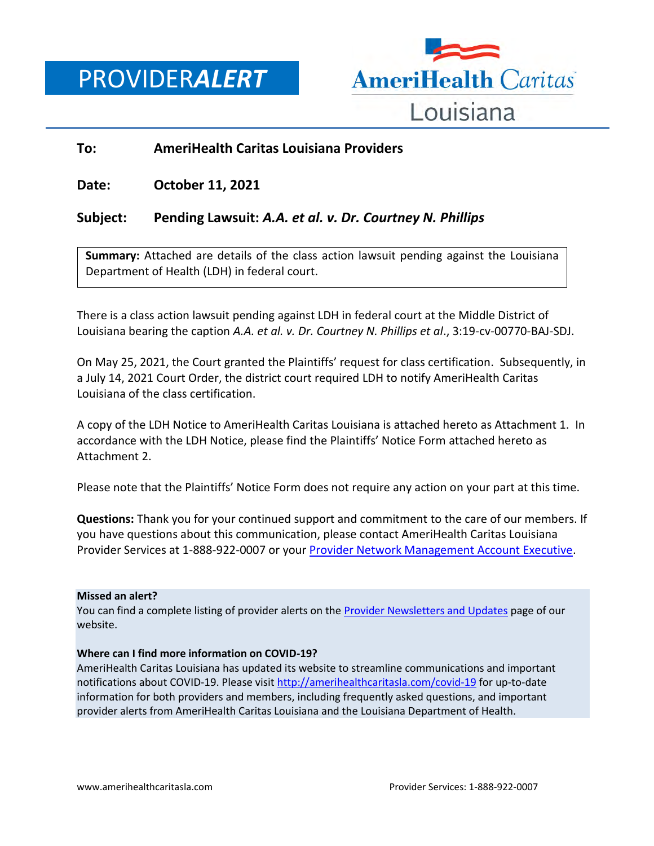PROVIDER*ALERT*



## **To: AmeriHealth Caritas Louisiana Providers**

**Date: October 11, 2021**

# **Subject: Pending Lawsuit:** *A.A. et al. v. Dr. Courtney N. Phillips*

**Summary:** Attached are details of the class action lawsuit pending against the Louisiana Department of Health (LDH) in federal court.

There is a class action lawsuit pending against LDH in federal court at the Middle District of Louisiana bearing the caption *A.A. et al. v. Dr. Courtney N. Phillips et al*., 3:19-cv-00770-BAJ-SDJ.

On May 25, 2021, the Court granted the Plaintiffs' request for class certification. Subsequently, in a July 14, 2021 Court Order, the district court required LDH to notify AmeriHealth Caritas Louisiana of the class certification.

A copy of the LDH Notice to AmeriHealth Caritas Louisiana is attached hereto as Attachment 1. In accordance with the LDH Notice, please find the Plaintiffs' Notice Form attached hereto as Attachment 2.

Please note that the Plaintiffs' Notice Form does not require any action on your part at this time.

**Questions:** Thank you for your continued support and commitment to the care of our members. If you have questions about this communication, please contact AmeriHealth Caritas Louisiana Provider Services at 1-888-922-0007 or you[r Provider Network Management Account Executive.](http://www.amerihealthcaritasla.com/pdf/provider/account-executives.pdf)

### **Missed an alert?**

You can find a complete listing of provider alerts on the [Provider Newsletters and Updates](http://amerihealthcaritasla.com/provider/newsletters-and-updates) page of our website.

### **Where can I find more information on COVID-19?**

AmeriHealth Caritas Louisiana has updated its website to streamline communications and important notifications about COVID-19. Please visi[t http://amerihealthcaritasla.com/covid-19](http://amerihealthcaritasla.com/covid-19) for up-to-date information for both providers and members, including frequently asked questions, and important provider alerts from AmeriHealth Caritas Louisiana and the Louisiana Department of Health.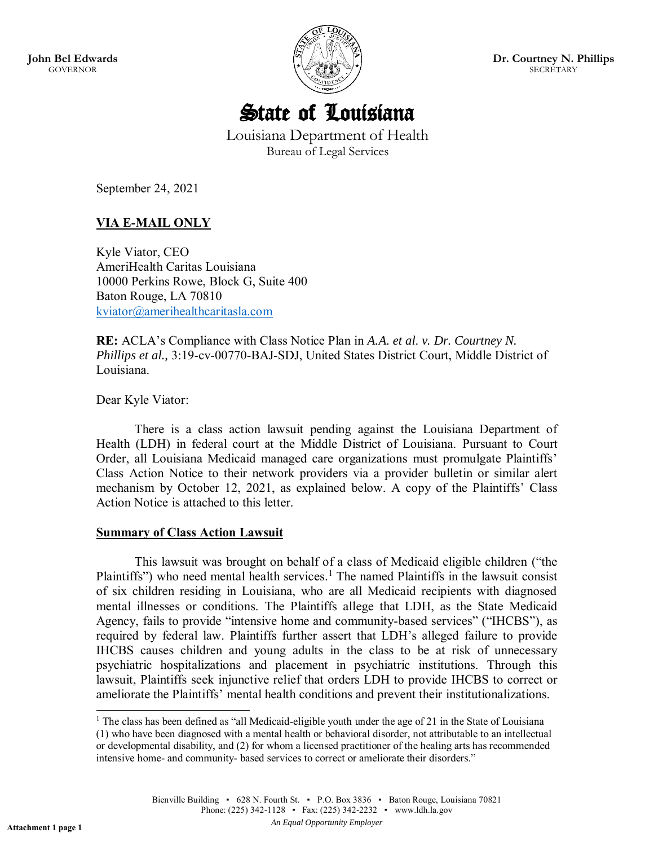**John Bel Edwards** GOVERNOR



**Dr. Courtney N. Phillips** SECRETARY



Louisiana Department of Health Bureau of Legal Services

September 24, 2021

# **VIA E-MAIL ONLY**

Kyle Viator, CEO AmeriHealth Caritas Louisiana 10000 Perkins Rowe, Block G, Suite 400 Baton Rouge, LA 70810 [kviator@amerihealthcaritasla.com](mailto:kviator@amerihealthcaritasla.com)

**RE:** ACLA's Compliance with Class Notice Plan in *A.A. et al*. *v. Dr. Courtney N. Phillips et al.,* 3:19-cv-00770-BAJ-SDJ, United States District Court, Middle District of Louisiana.

Dear Kyle Viator:

There is a class action lawsuit pending against the Louisiana Department of Health (LDH) in federal court at the Middle District of Louisiana. Pursuant to Court Order, all Louisiana Medicaid managed care organizations must promulgate Plaintiffs' Class Action Notice to their network providers via a provider bulletin or similar alert mechanism by October 12, 2021, as explained below. A copy of the Plaintiffs' Class Action Notice is attached to this letter.

### **Summary of Class Action Lawsuit**

This lawsuit was brought on behalf of a class of Medicaid eligible children ("the Plaintiffs") who need mental health services.<sup>1</sup> The named Plaintiffs in the lawsuit consist of six children residing in Louisiana, who are all Medicaid recipients with diagnosed mental illnesses or conditions. The Plaintiffs allege that LDH, as the State Medicaid Agency, fails to provide "intensive home and community-based services" ("IHCBS"), as required by federal law. Plaintiffs further assert that LDH's alleged failure to provide IHCBS causes children and young adults in the class to be at risk of unnecessary psychiatric hospitalizations and placement in psychiatric institutions. Through this lawsuit, Plaintiffs seek injunctive relief that orders LDH to provide IHCBS to correct or ameliorate the Plaintiffs' mental health conditions and prevent their institutionalizations.

<sup>&</sup>lt;sup>1</sup> The class has been defined as "all Medicaid-eligible youth under the age of 21 in the State of Louisiana

<sup>(1)</sup> who have been diagnosed with a mental health or behavioral disorder, not attributable to an intellectual or developmental disability, and (2) for whom a licensed practitioner of the healing arts has recommended intensive home- and community- based services to correct or ameliorate their disorders."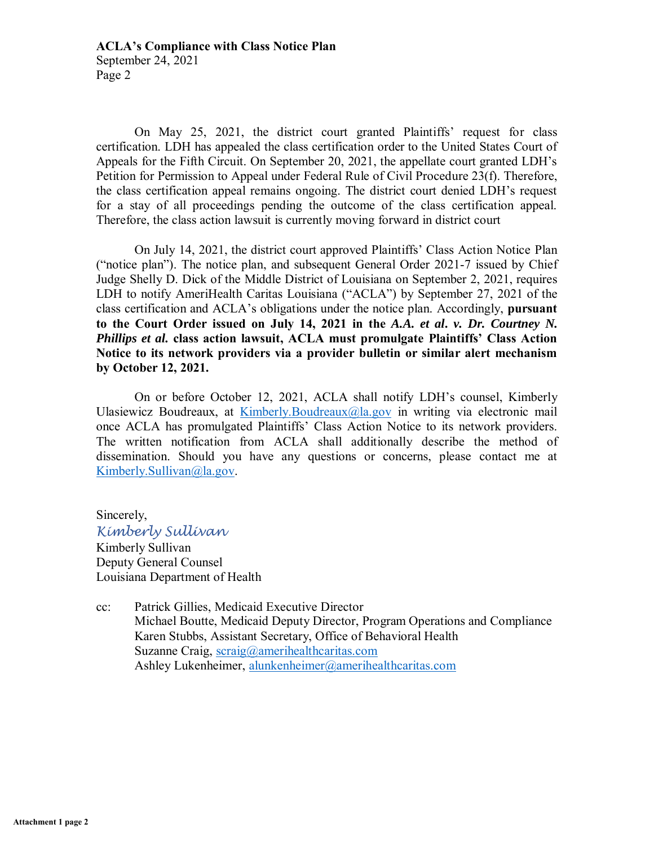On May 25, 2021, the district court granted Plaintiffs' request for class certification. LDH has appealed the class certification order to the United States Court of Appeals for the Fifth Circuit. On September 20, 2021, the appellate court granted LDH's Petition for Permission to Appeal under Federal Rule of Civil Procedure 23(f). Therefore, the class certification appeal remains ongoing. The district court denied LDH's request for a stay of all proceedings pending the outcome of the class certification appeal. Therefore, the class action lawsuit is currently moving forward in district court

On July 14, 2021, the district court approved Plaintiffs' Class Action Notice Plan ("notice plan"). The notice plan, and subsequent General Order 2021-7 issued by Chief Judge Shelly D. Dick of the Middle District of Louisiana on September 2, 2021, requires LDH to notify AmeriHealth Caritas Louisiana ("ACLA") by September 27, 2021 of the class certification and ACLA's obligations under the notice plan. Accordingly, **pursuant to the Court Order issued on July 14, 2021 in the** *A.A. et al***.** *v. Dr. Courtney N. Phillips et al.* **class action lawsuit, ACLA must promulgate Plaintiffs' Class Action Notice to its network providers via a provider bulletin or similar alert mechanism by October 12, 2021.** 

On or before October 12, 2021, ACLA shall notify LDH's counsel, Kimberly Ulasiewicz Boudreaux, at [Kimberly.Boudreaux@la.gov](mailto:Kimberly.Boudreaux@la.gov) in writing via electronic mail once ACLA has promulgated Plaintiffs' Class Action Notice to its network providers. The written notification from ACLA shall additionally describe the method of dissemination. Should you have any questions or concerns, please contact me at [Kimberly.Sullivan@la.gov.](mailto:Kimberly.Sullivan@la.gov)

Sincerely, *Kimberly Sullivan*  Kimberly Sullivan Deputy General Counsel Louisiana Department of Health

cc: Patrick Gillies, Medicaid Executive Director Michael Boutte, Medicaid Deputy Director, Program Operations and Compliance Karen Stubbs, Assistant Secretary, Office of Behavioral Health Suzanne Craig, [scraig@amerihealthcaritas.com](mailto:scraig@amerihealthcaritas.com) Ashley Lukenheimer, [alunkenheimer@amerihealthcaritas.com](mailto:alunkenheimer@amerihealthcaritas.com)